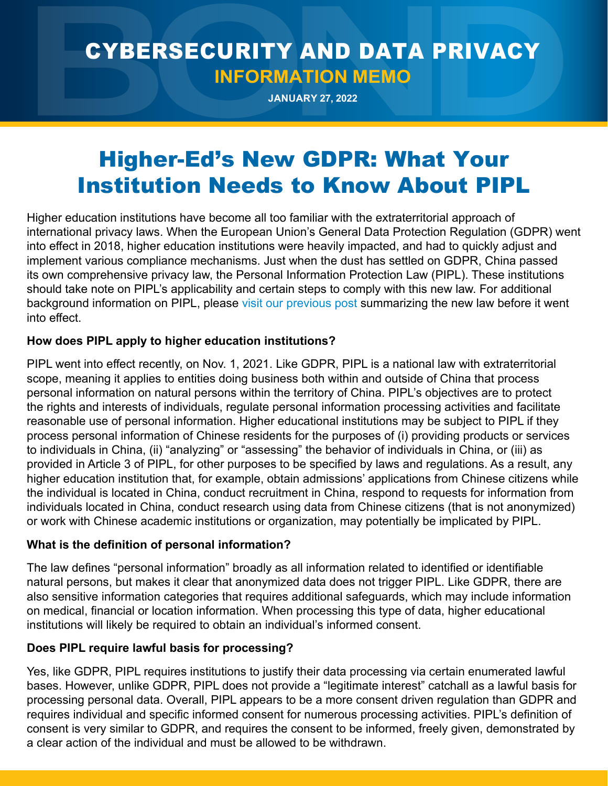# CYBERSECURITY AND DATA PRIVACY **INFORMATION MEMO**

**JANUARY 27, 2022**

# Higher-Ed's New GDPR: What Your Institution Needs to Know About PIPL

Higher education institutions have become all too familiar with the extraterritorial approach of international privacy laws. When the European Union's General Data Protection Regulation (GDPR) went into effect in 2018, higher education institutions were heavily impacted, and had to quickly adjust and implement various compliance mechanisms. Just when the dust has settled on GDPR, China passed its own comprehensive privacy law, the Personal Information Protection Law (PIPL). These institutions should take note on PIPL's applicability and certain steps to comply with this new law. For additional background information on PIPL, please [visit our previous post](https://www.bsk.com/news-events-videos/the-great-wall-of-data-privacy-china-passes-comprehensive-data-privacy-law) summarizing the new law before it went into effect.

## **How does PIPL apply to higher education institutions?**

PIPL went into effect recently, on Nov. 1, 2021. Like GDPR, PIPL is a national law with extraterritorial scope, meaning it applies to entities doing business both within and outside of China that process personal information on natural persons within the territory of China. PIPL's objectives are to protect the rights and interests of individuals, regulate personal information processing activities and facilitate reasonable use of personal information. Higher educational institutions may be subject to PIPL if they process personal information of Chinese residents for the purposes of (i) providing products or services to individuals in China, (ii) "analyzing" or "assessing" the behavior of individuals in China, or (iii) as provided in Article 3 of PIPL, for other purposes to be specified by laws and regulations. As a result, any higher education institution that, for example, obtain admissions' applications from Chinese citizens while the individual is located in China, conduct recruitment in China, respond to requests for information from individuals located in China, conduct research using data from Chinese citizens (that is not anonymized) or work with Chinese academic institutions or organization, may potentially be implicated by PIPL.

## **What is the definition of personal information?**

The law defines "personal information" broadly as all information related to identified or identifiable natural persons, but makes it clear that anonymized data does not trigger PIPL. Like GDPR, there are also sensitive information categories that requires additional safeguards, which may include information on medical, financial or location information. When processing this type of data, higher educational institutions will likely be required to obtain an individual's informed consent.

# **Does PIPL require lawful basis for processing?**

Yes, like GDPR, PIPL requires institutions to justify their data processing via certain enumerated lawful bases. However, unlike GDPR, PIPL does not provide a "legitimate interest" catchall as a lawful basis for processing personal data. Overall, PIPL appears to be a more consent driven regulation than GDPR and requires individual and specific informed consent for numerous processing activities. PIPL's definition of consent is very similar to GDPR, and requires the consent to be informed, freely given, demonstrated by a clear action of the individual and must be allowed to be withdrawn.